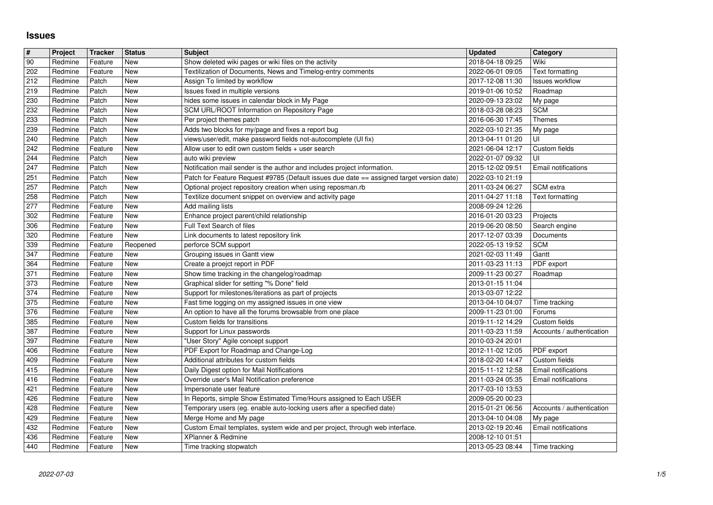## **Issues**

| $\overline{\boldsymbol{H}}$ | Project            | <b>Tracker</b>     | <b>Status</b> | <b>Subject</b>                                                                                | <b>Updated</b>                       | Category                    |
|-----------------------------|--------------------|--------------------|---------------|-----------------------------------------------------------------------------------------------|--------------------------------------|-----------------------------|
| 90                          | Redmine            | Feature            | New           | Show deleted wiki pages or wiki files on the activity                                         | 2018-04-18 09:25                     | Wiki                        |
| 202                         | Redmine            | Feature            | New           | Textilization of Documents, News and Timelog-entry comments                                   | 2022-06-01 09:05                     | Text formatting             |
| 212                         | Redmine            | Patch              | New           | Assign To limited by workflow                                                                 | 2017-12-08 11:30                     | Issues workflow             |
| 219                         | Redmine            | Patch              | New           | Issues fixed in multiple versions                                                             | 2019-01-06 10:52                     | Roadmap                     |
| 230                         | Redmine            | Patch<br>Patch     | New<br>New    | hides some issues in calendar block in My Page<br>SCM URL/ROOT Information on Repository Page | 2020-09-13 23:02                     | My page                     |
| 232<br>233                  | Redmine<br>Redmine | Patch              | New           | Per project themes patch                                                                      | 2018-03-28 08:23<br>2016-06-30 17:45 | <b>SCM</b><br><b>Themes</b> |
| 239                         | Redmine            | Patch              | New           | Adds two blocks for my/page and fixes a report bug                                            | 2022-03-10 21:35                     | My page                     |
| 240                         | Redmine            | Patch              | New           | views/user/edit, make password fields not-autocomplete (UI fix)                               | 2013-04-11 01:20                     | UI                          |
| 242                         | Redmine            | Feature            | New           | Allow user to edit own custom fields $+$ user search                                          | 2021-06-04 12:17                     | Custom fields               |
| 244                         | Redmine            | Patch              | New           | auto wiki preview                                                                             | 2022-01-07 09:32                     | UI                          |
| 247                         | Redmine            | Patch              | New           | Notification mail sender is the author and includes project information.                      | 2015-12-02 09:51                     | <b>Email notifications</b>  |
| 251                         | Redmine            | Patch              | New           | Patch for Feature Request #9785 (Default issues due date == assigned target version date)     | 2022-03-10 21:19                     |                             |
| 257                         | Redmine            | Patch              | New           | Optional project repository creation when using reposman.rb                                   | 2011-03-24 06:27                     | SCM extra                   |
| 258                         | Redmine            | Patch              | New           | Textilize document snippet on overview and activity page                                      | 2011-04-27 11:18                     | <b>Text formatting</b>      |
| 277                         | Redmine            | Feature            | New           | Add mailing lists                                                                             | 2008-09-24 12:26                     |                             |
| 302<br>306                  | Redmine<br>Redmine | Feature<br>Feature | New<br>New    | Enhance project parent/child relationship<br>Full Text Search of files                        | 2016-01-20 03:23<br>2019-06-20 08:50 | Projects<br>Search engine   |
| 320                         | Redmine            | Feature            | New           | Link documents to latest repository link                                                      | 2017-12-07 03:39                     | Documents                   |
| 339                         | Redmine            | Feature            | Reopened      | perforce SCM support                                                                          | 2022-05-13 19:52                     | <b>SCM</b>                  |
| 347                         | Redmine            | Feature            | New           | Grouping issues in Gantt view                                                                 | 2021-02-03 11:49                     | Gantt                       |
| 364                         | Redmine            | Feature            | New           | Create a proejct report in PDF                                                                | 2011-03-23 11:13                     | PDF export                  |
| 371                         | Redmine            | Feature            | New           | Show time tracking in the changelog/roadmap                                                   | 2009-11-23 00:27                     | Roadmap                     |
| 373                         | Redmine            | Feature            | New           | Graphical slider for setting "% Done" field                                                   | 2013-01-15 11:04                     |                             |
| 374                         | Redmine            | Feature            | New           | Support for milestones/iterations as part of projects                                         | 2013-03-07 12:22                     |                             |
| 375                         | Redmine            | Feature            | New           | Fast time logging on my assigned issues in one view                                           | 2013-04-10 04:07                     | Time tracking               |
| 376                         | Redmine            | Feature            | New           | An option to have all the forums browsable from one place                                     | 2009-11-23 01:00                     | Forums                      |
| 385                         | Redmine            | Feature            | New           | Custom fields for transitions                                                                 | 2019-11-12 14:29                     | Custom fields               |
| 387                         | Redmine            | Feature            | New           | Support for Linux passwords                                                                   | 2011-03-23 11:59                     | Accounts / authentication   |
| 397                         | Redmine            | Feature            | New           | "User Story" Agile concept support                                                            | 2010-03-24 20:01                     |                             |
| 406                         | Redmine            | Feature            | New<br>New    | PDF Export for Roadmap and Change-Log<br>Additional attributes for custom fields              | 2012-11-02 12:05                     | PDF export<br>Custom fields |
| 409<br>415                  | Redmine<br>Redmine | Feature<br>Feature | New           | Daily Digest option for Mail Notifications                                                    | 2018-02-20 14:47<br>2015-11-12 12:58 | Email notifications         |
| 416                         | Redmine            | Feature            | New           | Override user's Mail Notification preference                                                  | 2011-03-24 05:35                     | Email notifications         |
| 421                         | Redmine            | Feature            | New           | Impersonate user feature                                                                      | 2017-03-10 13:53                     |                             |
| 426                         | Redmine            | Feature            | New           | In Reports, simple Show Estimated Time/Hours assigned to Each USER                            | 2009-05-20 00:23                     |                             |
| 428                         | Redmine            | Feature            | New           | Temporary users (eg. enable auto-locking users after a specified date)                        | 2015-01-21 06:56                     | Accounts / authentication   |
| 429                         | Redmine            | Feature            | New           | Merge Home and My page                                                                        | 2013-04-10 04:08                     | My page                     |
| 432                         | Redmine            | Feature            | New           | Custom Email templates, system wide and per project, through web interface.                   | 2013-02-19 20:46 Email notifications |                             |
| 436                         | Redmine            | Feature            | <b>New</b>    | XPlanner & Redmine                                                                            | 2008-12-10 01:51                     |                             |
|                             |                    |                    |               |                                                                                               |                                      |                             |
|                             |                    |                    |               |                                                                                               |                                      |                             |
|                             |                    |                    |               |                                                                                               |                                      |                             |
|                             |                    |                    |               |                                                                                               |                                      |                             |
|                             |                    |                    |               |                                                                                               |                                      |                             |
|                             |                    |                    |               |                                                                                               |                                      |                             |
|                             |                    |                    |               |                                                                                               |                                      |                             |
|                             |                    |                    |               |                                                                                               |                                      |                             |
|                             |                    |                    |               |                                                                                               |                                      |                             |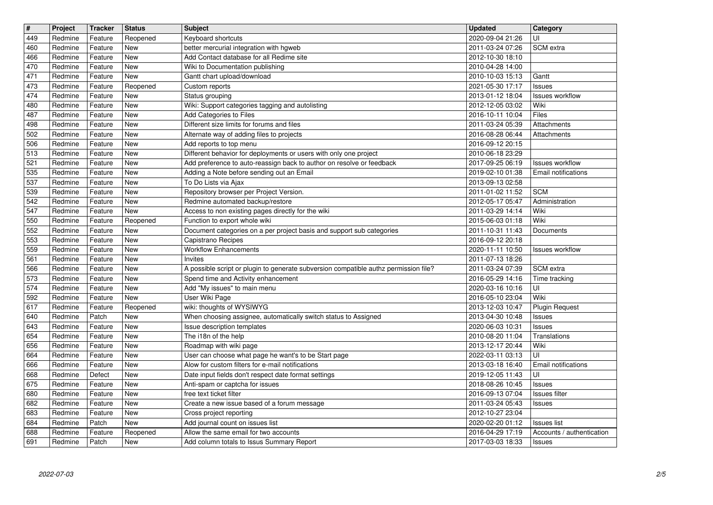| $\overline{\mathbf{H}}$ | Project            | <b>Tracker</b>     | <b>Status</b>          | <b>Subject</b>                                                                               | <b>Updated</b>                       | Category                               |
|-------------------------|--------------------|--------------------|------------------------|----------------------------------------------------------------------------------------------|--------------------------------------|----------------------------------------|
| 449<br>460              | Redmine<br>Redmine | Feature<br>Feature | Reopened<br>New        | Keyboard shortcuts<br>better mercurial integration with hgweb                                | 2020-09-04 21:26<br>2011-03-24 07:26 | UI<br>SCM extra                        |
| 466                     | Redmine            | Feature            | New                    | Add Contact database for all Redime site                                                     | 2012-10-30 18:10                     |                                        |
| 470<br>471              | Redmine<br>Redmine | Feature<br>Feature | New<br>New             | Wiki to Documentation publishing<br>Gantt chart upload/download                              | 2010-04-28 14:00<br>2010-10-03 15:13 | Gantt                                  |
| 473                     | Redmine            | Feature            | Reopened               | Custom reports                                                                               | 2021-05-30 17:17                     | Issues                                 |
| 474                     | Redmine<br>Redmine | Feature<br>Feature | New<br>New             | Status grouping<br>Wiki: Support categories tagging and autolisting                          | 2013-01-12 18:04<br>2012-12-05 03:02 | <b>Issues workflow</b><br>Wiki         |
| 480<br>487              | Redmine            | Feature            | New                    | Add Categories to Files                                                                      | 2016-10-11 10:04                     | Files                                  |
| 498                     | Redmine            | Feature            | New                    | Different size limits for forums and files                                                   | 2011-03-24 05:39                     | Attachments                            |
| 502<br>506              | Redmine<br>Redmine | Feature<br>Feature | <b>New</b><br>New      | Alternate way of adding files to projects<br>Add reports to top menu                         | 2016-08-28 06:44<br>2016-09-12 20:15 | Attachments                            |
| 513                     | Redmine            | Feature            | New                    | Different behavior for deployments or users with only one project                            | 2010-06-18 23:29                     |                                        |
| 521                     | Redmine            | Feature            | New                    | Add preference to auto-reassign back to author on resolve or feedback                        | 2017-09-25 06:19                     | <b>Issues workflow</b>                 |
| 535<br>537              | Redmine<br>Redmine | Feature<br>Feature | New<br>New             | Adding a Note before sending out an Email<br>To Do Lists via Ajax                            | 2019-02-10 01:38<br>2013-09-13 02:58 | Email notifications                    |
| 539                     | Redmine            | Feature            | New                    | Repository browser per Project Version.                                                      | 2011-01-02 11:52                     | <b>SCM</b>                             |
| 542<br>547              | Redmine<br>Redmine | Feature<br>Feature | New<br>New             | Redmine automated backup/restore<br>Access to non existing pages directly for the wiki       | 2012-05-17 05:47<br>2011-03-29 14:14 | Administration<br>Wiki                 |
| 550                     | Redmine            | Feature            | Reopened               | Function to export whole wiki                                                                | 2015-06-03 01:18                     | Wiki                                   |
| 552                     | Redmine            | Feature            | New                    | Document categories on a per project basis and support sub categories                        | 2011-10-31 11:43                     | Documents                              |
| 553<br>559              | Redmine<br>Redmine | Feature<br>Feature | New<br>New             | Capistrano Recipes<br><b>Workflow Enhancements</b>                                           | 2016-09-12 20:18<br>2020-11-11 10:50 | <b>Issues workflow</b>                 |
| 561                     | Redmine            | Feature            | New                    | Invites                                                                                      | 2011-07-13 18:26                     |                                        |
| 566                     | Redmine            | Feature            | New                    | A possible script or plugin to generate subversion compatible authz permission file?         | 2011-03-24 07:39                     | <b>SCM</b> extra                       |
| 573<br>574              | Redmine<br>Redmine | Feature<br>Feature | New<br>New             | Spend time and Activity enhancement<br>Add "My issues" to main menu                          | 2016-05-29 14:16<br>2020-03-16 10:16 | Time tracking<br>UI                    |
| 592                     | Redmine            | Feature            | New                    | User Wiki Page                                                                               | 2016-05-10 23:04                     | Wiki                                   |
| 617<br>640              | Redmine<br>Redmine | Feature<br>Patch   | Reopened<br><b>New</b> | wiki: thoughts of WYSIWYG<br>When choosing assignee, automatically switch status to Assigned | 2013-12-03 10:47<br>2013-04-30 10:48 | <b>Plugin Request</b><br><b>Issues</b> |
| 643                     | Redmine            | Feature            | New                    | Issue description templates                                                                  | 2020-06-03 10:31                     | Issues                                 |
| 654                     | Redmine            | Feature            | New                    | The i18n of the help                                                                         | 2010-08-20 11:04                     | Translations                           |
| 656<br>664              | Redmine<br>Redmine | Feature<br>Feature | New<br>New             | Roadmap with wiki page<br>User can choose what page he want's to be Start page               | 2013-12-17 20:44<br>2022-03-11 03:13 | Wiki<br>UI                             |
| 666                     | Redmine            | Feature            | New                    | Alow for custom filters for e-mail notifications                                             | 2013-03-18 16:40                     | Email notifications                    |
| 668                     | Redmine            | Defect             | New                    | Date input fields don't respect date format settings                                         | 2019-12-05 11:43                     | UI                                     |
| 675<br>680              | Redmine<br>Redmine | Feature<br>Feature | New<br>New             | Anti-spam or captcha for issues<br>free text ticket filter                                   | 2018-08-26 10:45<br>2016-09-13 07:04 | Issues<br>Issues filter                |
| 682                     | Redmine            | Feature            | <b>New</b>             | Create a new issue based of a forum message                                                  | 2011-03-24 05:43                     | <b>Issues</b>                          |
| 683<br>684              | Redmine<br>Redmine | Feature<br>Patch   | New<br>New             | Cross project reporting<br>Add journal count on issues list                                  | 2012-10-27 23:04<br>2020-02-20 01:12 | <b>Issues list</b>                     |
| 688                     | Redmine            | Feature            | Reopened               | Allow the same email for two accounts                                                        | 2016-04-29 17:19                     | Accounts / authentication              |
|                         |                    |                    |                        |                                                                                              |                                      |                                        |
|                         |                    |                    |                        |                                                                                              |                                      |                                        |
|                         |                    |                    |                        |                                                                                              |                                      |                                        |
|                         |                    |                    |                        |                                                                                              |                                      |                                        |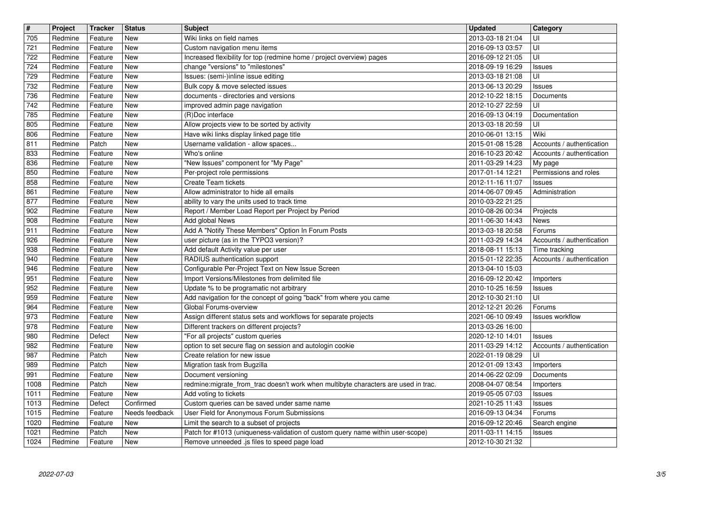| $\sqrt{t}$   | Project            | <b>Tracker</b>     | <b>Status</b>    | <b>Subject</b>                                                                                                             | <b>Updated</b>                       | Category                            |
|--------------|--------------------|--------------------|------------------|----------------------------------------------------------------------------------------------------------------------------|--------------------------------------|-------------------------------------|
| 705<br>721   | Redmine<br>Redmine | Feature<br>Feature | New<br>New       | Wiki links on field names<br>Custom navigation menu items                                                                  | 2013-03-18 21:04<br>2016-09-13 03:57 | UI<br>UI                            |
| 722          | Redmine            | Feature            | New              | Increased flexibility for top (redmine home / project overview) pages                                                      | 2016-09-12 21:05                     | UI                                  |
| 724<br>729   | Redmine<br>Redmine | Feature<br>Feature | New<br>New       | change "versions" to "milestones"<br>Issues: (semi-)inline issue editing                                                   | 2018-09-19 16:29<br>2013-03-18 21:08 | <b>Issues</b><br>UI                 |
| 732          | Redmine            | Feature            | New              | Bulk copy & move selected issues                                                                                           | 2013-06-13 20:29                     | Issues                              |
| 736          | Redmine            | Feature            | New              | documents - directories and versions                                                                                       | 2012-10-22 18:15                     | Documents                           |
| 742<br>785   | Redmine<br>Redmine | Feature<br>Feature | New<br>New       | improved admin page navigation<br>(R)Doc interface                                                                         | 2012-10-27 22:59<br>2016-09-13 04:19 | UI<br>Documentation                 |
| 805          | Redmine            | Feature            | New              | Allow projects view to be sorted by activity                                                                               | 2013-03-18 20:59                     | UI                                  |
| 806<br>811   | Redmine<br>Redmine | Feature<br>Patch   | New<br>New       | Have wiki links display linked page title<br>Username validation - allow spaces                                            | 2010-06-01 13:15<br>2015-01-08 15:28 | Wiki<br>Accounts / authentication   |
| 833          | Redmine            | Feature            | New              | Who's online                                                                                                               | 2016-10-23 20:42                     | Accounts / authentication           |
| 836          | Redmine            | Feature            | New<br>New       | "New Issues" component for "My Page"                                                                                       | 2011-03-29 14:23                     | My page                             |
| 850<br>858   | Redmine<br>Redmine | Feature<br>Feature | New              | Per-project role permissions<br>Create Team tickets                                                                        | 2017-01-14 12:21<br>2012-11-16 11:07 | Permissions and roles<br>Issues     |
| 861          | Redmine            | Feature            | New              | Allow administrator to hide all emails                                                                                     | 2014-06-07 09:45                     | Administration                      |
| 877<br>902   | Redmine<br>Redmine | Feature<br>Feature | New<br>New       | ability to vary the units used to track time<br>Report / Member Load Report per Project by Period                          | 2010-03-22 21:25<br>2010-08-26 00:34 | Projects                            |
| 908          | Redmine            | Feature            | New              | Add global News                                                                                                            | 2011-06-30 14:43                     | News                                |
| 911<br>926   | Redmine<br>Redmine | Feature<br>Feature | New<br>New       | Add A "Notify These Members" Option In Forum Posts<br>user picture (as in the TYPO3 version)?                              | 2013-03-18 20:58<br>2011-03-29 14:34 | Forums<br>Accounts / authentication |
| 938          | Redmine            | Feature            | New              | Add default Activity value per user                                                                                        | 2018-08-11 15:13                     | Time tracking                       |
| 940<br>946   | Redmine<br>Redmine | Feature<br>Feature | New<br>New       | RADIUS authentication support<br>Configurable Per-Project Text on New Issue Screen                                         | 2015-01-12 22:35<br>2013-04-10 15:03 | Accounts / authentication           |
| 951          | Redmine            | Feature            | New              | Import Versions/Milestones from delimited file                                                                             | 2016-09-12 20:42                     | Importers                           |
| 952          | Redmine            | Feature            | New              | Update % to be programatic not arbitrary                                                                                   | 2010-10-25 16:59                     | Issues                              |
| 959<br>964   | Redmine<br>Redmine | Feature<br>Feature | New<br>New       | Add navigation for the concept of going "back" from where you came<br>Global Forums-overview                               | 2012-10-30 21:10<br>2012-12-21 20:26 | UI<br>Forums                        |
| 973          | Redmine            | Feature            | <b>New</b>       | Assign different status sets and workflows for separate projects                                                           | 2021-06-10 09:49                     | Issues workflow                     |
| 978<br>980   | Redmine<br>Redmine | Feature<br>Defect  | New<br>New       | Different trackers on different projects?<br>"For all projects" custom queries                                             | 2013-03-26 16:00<br>2020-12-10 14:01 | <b>Issues</b>                       |
| 982          | Redmine            | Feature            | New              | option to set secure flag on session and autologin cookie                                                                  | 2011-03-29 14:12                     | Accounts / authentication           |
| 987<br>989   | Redmine<br>Redmine | Patch<br>Patch     | New<br>New       | Create relation for new issue<br>Migration task from Bugzilla                                                              | 2022-01-19 08:29<br>2012-01-09 13:43 | UI<br>Importers                     |
| 991          | Redmine            | Feature            | New              | Document versioning                                                                                                        | 2014-06-22 02:09                     | Documents                           |
| 1008         | Redmine            | Patch              | New              | redmine: migrate_from_trac doesn't work when multibyte characters are used in trac.                                        | 2008-04-07 08:54                     | Importers                           |
| 1011<br>1013 | Redmine<br>Redmine | Feature<br>Defect  | New<br>Confirmed | Add voting to tickets<br>Custom queries can be saved under same name                                                       | 2019-05-05 07:03<br>2021-10-25 11:43 | <b>Issues</b><br><b>Issues</b>      |
| 1015         | Redmine            | Feature            | Needs feedback   | User Field for Anonymous Forum Submissions                                                                                 | 2016-09-13 04:34                     | Forums                              |
| 1020<br>1021 | Redmine<br>Redmine | Feature<br>Patch   | New<br>New       | Limit the search to a subset of projects<br>Patch for #1013 (uniqueness-validation of custom query name within user-scope) | 2016-09-12 20:46<br>2011-03-11 14:15 | Search engine<br><b>Issues</b>      |
| 1024         | Redmine            | Feature            | New              | Remove unneeded .js files to speed page load                                                                               | 2012-10-30 21:32                     |                                     |
|              |                    |                    |                  |                                                                                                                            |                                      |                                     |
|              |                    |                    |                  |                                                                                                                            |                                      |                                     |
|              |                    |                    |                  |                                                                                                                            |                                      |                                     |
|              |                    |                    |                  |                                                                                                                            |                                      |                                     |
|              |                    |                    |                  |                                                                                                                            |                                      |                                     |
|              |                    |                    |                  |                                                                                                                            |                                      |                                     |
|              |                    |                    |                  |                                                                                                                            |                                      |                                     |
|              |                    |                    |                  |                                                                                                                            |                                      |                                     |
|              |                    |                    |                  |                                                                                                                            |                                      |                                     |
|              |                    |                    |                  |                                                                                                                            |                                      |                                     |
|              |                    |                    |                  |                                                                                                                            |                                      |                                     |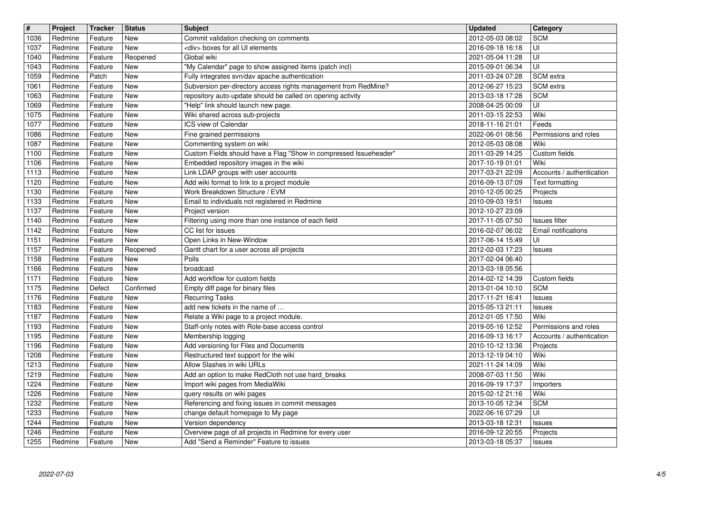| $\sqrt{t}$   | Project            | <b>Tracker</b>     | <b>Status</b>            | <b>Subject</b>                                                                                           | <b>Updated</b>                       | Category                                           |
|--------------|--------------------|--------------------|--------------------------|----------------------------------------------------------------------------------------------------------|--------------------------------------|----------------------------------------------------|
| 1036<br>1037 | Redmine<br>Redmine | Feature<br>Feature | New<br><b>New</b>        | Commit validation checking on comments<br><div> boxes for all UI elements</div>                          | 2012-05-03 08:02<br>2016-09-18 16:18 | <b>SCM</b><br>UI                                   |
| 1040         | Redmine            | Feature            | Reopened                 | Global wiki                                                                                              | 2021-05-04 11:28                     | UI                                                 |
| 1043<br>1059 | Redmine<br>Redmine | Feature<br>Patch   | New<br>New               | "My Calendar" page to show assigned items (patch incl)<br>Fully integrates svn/dav apache authentication | 2015-09-01 06:34<br>2011-03-24 07:28 | UI<br>SCM extra                                    |
| 1061         | Redmine            | Feature            | <b>New</b>               | Subversion per-directory access rights management from RedMine?                                          | 2012-06-27 15:23                     | SCM extra                                          |
| 1063<br>1069 | Redmine<br>Redmine | Feature<br>Feature | New<br>New               | repository auto-update should be called on opening activity<br>"Help" link should launch new page.       | 2013-03-18 17:28<br>2008-04-25 00:09 | <b>SCM</b><br>UI                                   |
| 1075         | Redmine            | Feature            | New                      | Wiki shared across sub-projects                                                                          | 2011-03-15 22:53                     | Wiki                                               |
| 1077         | Redmine            | Feature            | New                      | ICS view of Calendar                                                                                     | 2018-11-16 21:01                     | Feeds                                              |
| 1086<br>1087 | Redmine<br>Redmine | Feature<br>Feature | <b>New</b><br><b>New</b> | Fine grained permissions<br>Commenting system on wiki                                                    | 2022-06-01 08:56<br>2012-05-03 08:08 | Permissions and roles<br>Wiki                      |
| 1100         | Redmine            | Feature            | New                      | Custom Fields should have a Flag "Show in compressed Issueheader"                                        | 2011-03-29 14:25                     | Custom fields                                      |
| 1106<br>1113 | Redmine<br>Redmine | Feature<br>Feature | New<br>New               | Embedded repository images in the wiki<br>Link LDAP groups with user accounts                            | 2017-10-19 01:01<br>2017-03-21 22:09 | Wiki<br>Accounts / authentication                  |
| 1120         | Redmine            | Feature            | New                      | Add wiki format to link to a project module                                                              | 2016-09-13 07:09                     | Text formatting                                    |
| 1130<br>1133 | Redmine<br>Redmine | Feature<br>Feature | New<br><b>New</b>        | Work Breakdown Structure / EVM<br>Email to individuals not registered in Redmine                         | 2010-12-05 00:25<br>2010-09-03 19:51 | Projects<br><b>Issues</b>                          |
| 1137         | Redmine            | Feature            | New                      | Project version                                                                                          | 2012-10-27 23:09                     |                                                    |
| 1140<br>1142 | Redmine<br>Redmine | Feature            | New<br><b>New</b>        | Filtering using more than one instance of each field                                                     | 2017-11-05 07:50                     | Issues filter                                      |
| 1151         | Redmine            | Feature<br>Feature | New                      | CC list for issues<br>Open Links in New-Window                                                           | 2016-02-07 06:02<br>2017-06-14 15:49 | Email notifications<br>UI                          |
| 1157         | Redmine            | Feature            | Reopened                 | Gantt chart for a user across all projects                                                               | 2012-02-03 17:23                     | <b>Issues</b>                                      |
| 1158<br>1166 | Redmine<br>Redmine | Feature<br>Feature | New<br>New               | Polls<br>broadcast                                                                                       | 2017-02-04 06:40<br>2013-03-18 05:56 |                                                    |
| 1171         | Redmine            | Feature            | New                      | Add workflow for custom fields                                                                           | 2014-02-12 14:39                     | Custom fields                                      |
| 1175<br>1176 | Redmine<br>Redmine | Defect<br>Feature  | Confirmed<br><b>New</b>  | Empty diff page for binary files<br><b>Recurring Tasks</b>                                               | 2013-01-04 10:10<br>2017-11-21 16:41 | <b>SCM</b><br><b>Issues</b>                        |
| 1183         | Redmine            | Feature            | <b>New</b>               | add new tickets in the name of                                                                           | 2015-05-13 21:11                     | <b>Issues</b>                                      |
| 1187         | Redmine            | Feature            | <b>New</b>               | Relate a Wiki page to a project module.                                                                  | 2012-01-05 17:50                     | Wiki                                               |
| 1193<br>1195 | Redmine<br>Redmine | Feature<br>Feature | New<br>New               | Staff-only notes with Role-base access control<br>Membership logging                                     | 2019-05-16 12:52<br>2016-09-13 16:17 | Permissions and roles<br>Accounts / authentication |
| 1196         | Redmine            | Feature            | New                      | Add versioning for Files and Documents                                                                   | 2010-10-12 13:36                     | Projects                                           |
| 1208<br>1213 | Redmine<br>Redmine | Feature<br>Feature | New<br><b>New</b>        | Restructured text support for the wiki<br>Allow Slashes in wiki URLs                                     | 2013-12-19 04:10<br>2021-11-24 14:09 | Wiki<br>Wiki                                       |
| 1219         | Redmine            | Feature            | <b>New</b>               | Add an option to make RedCloth not use hard_breaks                                                       | 2008-07-03 11:50                     | Wiki                                               |
| 1224<br>1226 | Redmine<br>Redmine | Feature<br>Feature | New<br>New               | Import wiki pages from MediaWiki<br>query results on wiki pages                                          | 2016-09-19 17:37<br>2015-02-12 21:16 | Importers<br>Wiki                                  |
| 1232         | Redmine            | Feature            | <b>New</b>               | Referencing and fixing issues in commit messages                                                         | 2013-10-05 12:34                     | <b>SCM</b>                                         |
| 1233         | Redmine            | Feature            | New                      | change default homepage to My page                                                                       | 2022-06-16 07:29                     | UI                                                 |
| 1244<br>1246 | Redmine<br>Redmine | Feature<br>Feature | New<br>New               | Version dependency<br>Overview page of all projects in Redmine for every user                            | 2013-03-18 12:31<br>2016-09-12 20:55 | <b>Issues</b><br>Projects                          |
| 1255         | Redmine            | Feature            | New                      | Add "Send a Reminder" Feature to issues                                                                  | 2013-03-18 05:37                     | Issues                                             |
|              |                    |                    |                          |                                                                                                          |                                      |                                                    |
|              |                    |                    |                          |                                                                                                          |                                      |                                                    |
|              |                    |                    |                          |                                                                                                          |                                      |                                                    |
|              |                    |                    |                          |                                                                                                          |                                      |                                                    |
|              |                    |                    |                          |                                                                                                          |                                      |                                                    |
|              |                    |                    |                          |                                                                                                          |                                      |                                                    |
|              |                    |                    |                          |                                                                                                          |                                      |                                                    |
|              |                    |                    |                          |                                                                                                          |                                      |                                                    |
|              |                    |                    |                          |                                                                                                          |                                      |                                                    |
|              |                    |                    |                          |                                                                                                          |                                      |                                                    |
|              |                    |                    |                          |                                                                                                          |                                      |                                                    |